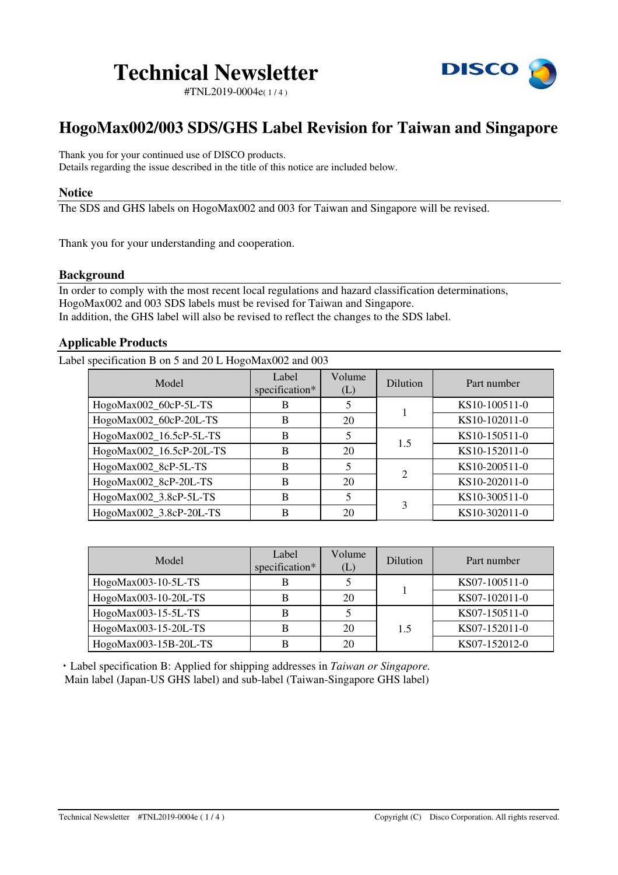

#TNL2019-0004e( 1 / 4 )

# **HogoMax002/003 SDS/GHS Label Revision for Taiwan and Singapore**

Thank you for your continued use of DISCO products. Details regarding the issue described in the title of this notice are included below.

### **Notice**

The SDS and GHS labels on HogoMax002 and 003 for Taiwan and Singapore will be revised.

Thank you for your understanding and cooperation.

# **Background**

In order to comply with the most recent local regulations and hazard classification determinations, HogoMax002 and 003 SDS labels must be revised for Taiwan and Singapore. In addition, the GHS label will also be revised to reflect the changes to the SDS label.

# **Applicable Products**

Label specification B on 5 and 20 L HogoMax002 and 003

| Model                    | Label<br>specification* | Volume<br>(L) | Dilution       | Part number   |
|--------------------------|-------------------------|---------------|----------------|---------------|
| HogoMax002_60cP-5L-TS    | B                       |               |                | KS10-100511-0 |
| HogoMax002_60cP-20L-TS   | B                       | 20            |                | KS10-102011-0 |
| HogoMax002_16.5cP-5L-TS  | B                       | 5             | 1.5            | KS10-150511-0 |
| HogoMax002_16.5cP-20L-TS | B                       | 20            |                | KS10-152011-0 |
| HogoMax002_8cP-5L-TS     | B                       |               | $\overline{2}$ | KS10-200511-0 |
| HogoMax002_8cP-20L-TS    | B                       | 20            |                | KS10-202011-0 |
| HogoMax002_3.8cP-5L-TS   | B                       | 5             | 3              | KS10-300511-0 |
| HogoMax002_3.8cP-20L-TS  | B                       | 20            |                | KS10-302011-0 |

| Model                 | Label<br>specification* | Volume<br>(L) | Dilution | Part number   |
|-----------------------|-------------------------|---------------|----------|---------------|
| HogoMax003-10-5L-TS   |                         |               |          | KS07-100511-0 |
| HogoMax003-10-20L-TS  |                         | 20            |          | KS07-102011-0 |
| HogoMax003-15-5L-TS   |                         |               | 1.5      | KS07-150511-0 |
| HogoMax003-15-20L-TS  |                         | 20            |          | KS07-152011-0 |
| HogoMax003-15B-20L-TS |                         | 20            |          | KS07-152012-0 |

・Label specification B: Applied for shipping addresses in *Taiwan or Singapore.* Main label (Japan-US GHS label) and sub-label (Taiwan-Singapore GHS label)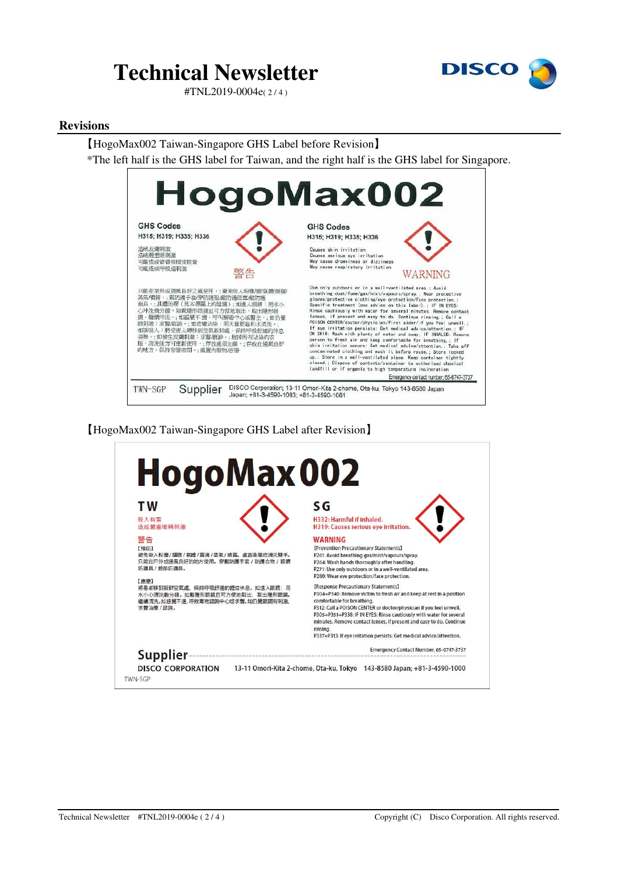

#TNL2019-0004e( 2 / 4 )

#### **Revisions**

#### 【HogoMax002 Taiwan-Singapore GHS Label before Revision】

\*The left half is the GHS label for Taiwan, and the right half is the GHS label for Singapore.



【HogoMax002 Taiwan-Singapore GHS Label after Revision】

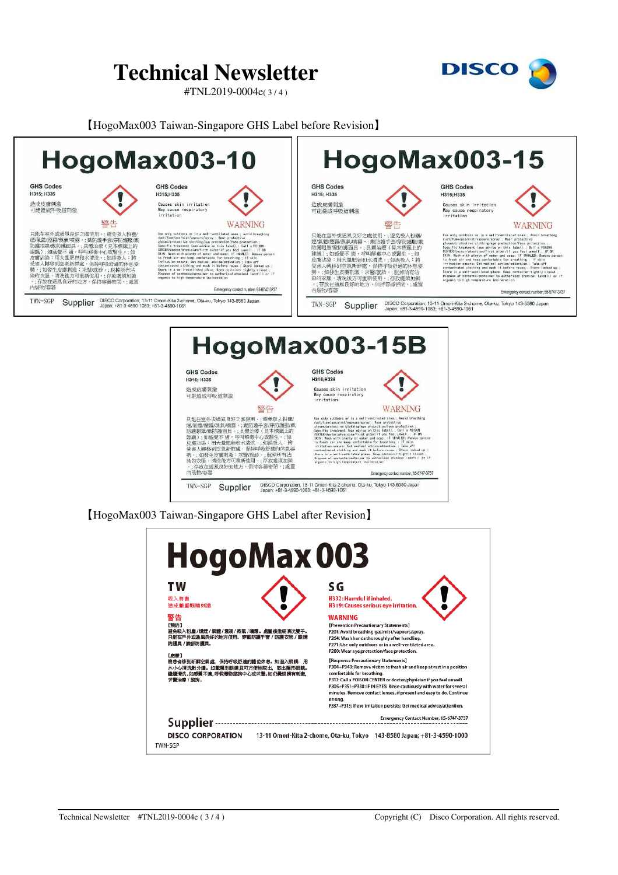#TNL2019-0004e( 3 / 4 )



#### 【HogoMax003 Taiwan-Singapore GHS Label before Revision】





【HogoMax003 Taiwan-Singapore GHS Label after Revision】